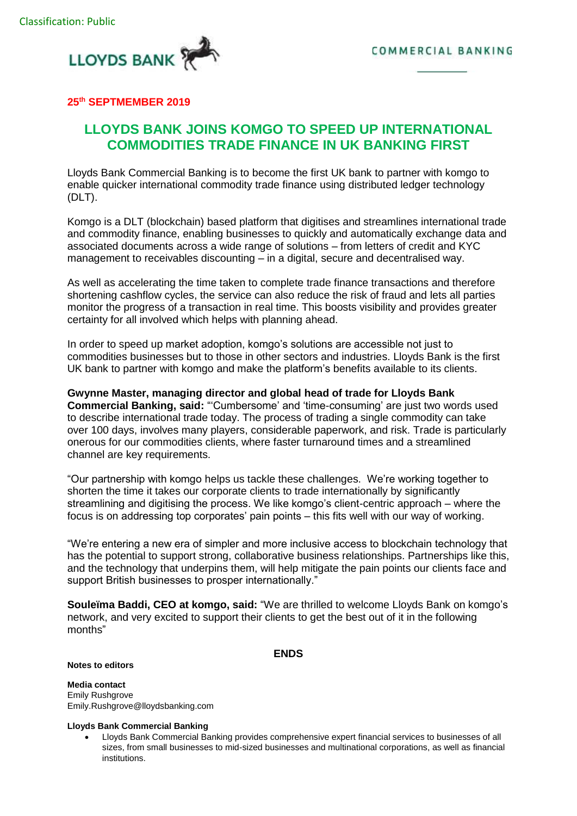



## **25th SEPTMEMBER 2019**

## **LLOYDS BANK JOINS KOMGO TO SPEED UP INTERNATIONAL COMMODITIES TRADE FINANCE IN UK BANKING FIRST**

Lloyds Bank Commercial Banking is to become the first UK bank to partner with komgo to enable quicker international commodity trade finance using distributed ledger technology (DLT).

Komgo is a DLT (blockchain) based platform that digitises and streamlines international trade and commodity finance, enabling businesses to quickly and automatically exchange data and associated documents across a wide range of solutions – from letters of credit and KYC management to receivables discounting – in a digital, secure and decentralised way.

As well as accelerating the time taken to complete trade finance transactions and therefore shortening cashflow cycles, the service can also reduce the risk of fraud and lets all parties monitor the progress of a transaction in real time. This boosts visibility and provides greater certainty for all involved which helps with planning ahead.

In order to speed up market adoption, komgo's solutions are accessible not just to commodities businesses but to those in other sectors and industries. Lloyds Bank is the first UK bank to partner with komgo and make the platform's benefits available to its clients.

**Gwynne Master, managing director and global head of trade for Lloyds Bank Commercial Banking, said:** "'Cumbersome' and 'time-consuming' are just two words used to describe international trade today. The process of trading a single commodity can take over 100 days, involves many players, considerable paperwork, and risk. Trade is particularly onerous for our commodities clients, where faster turnaround times and a streamlined channel are key requirements.

"Our partnership with komgo helps us tackle these challenges. We're working together to shorten the time it takes our corporate clients to trade internationally by significantly streamlining and digitising the process. We like komgo's client-centric approach – where the focus is on addressing top corporates' pain points – this fits well with our way of working.

"We're entering a new era of simpler and more inclusive access to blockchain technology that has the potential to support strong, collaborative business relationships. Partnerships like this, and the technology that underpins them, will help mitigate the pain points our clients face and support British businesses to prosper internationally."

**Souleïma Baddi, CEO at komgo, said:** "We are thrilled to welcome Lloyds Bank on komgo's network, and very excited to support their clients to get the best out of it in the following months"

## **ENDS**

**Notes to editors**

**Media contact** Emily Rushgrove

[Emily.Rushgrove@lloydsbanking.com](mailto:Emily.Rushgrove@lloydsbanking.com)

## **Lloyds Bank Commercial Banking**

 Lloyds Bank Commercial Banking provides comprehensive expert financial services to businesses of all sizes, from small businesses to mid-sized businesses and multinational corporations, as well as financial institutions.